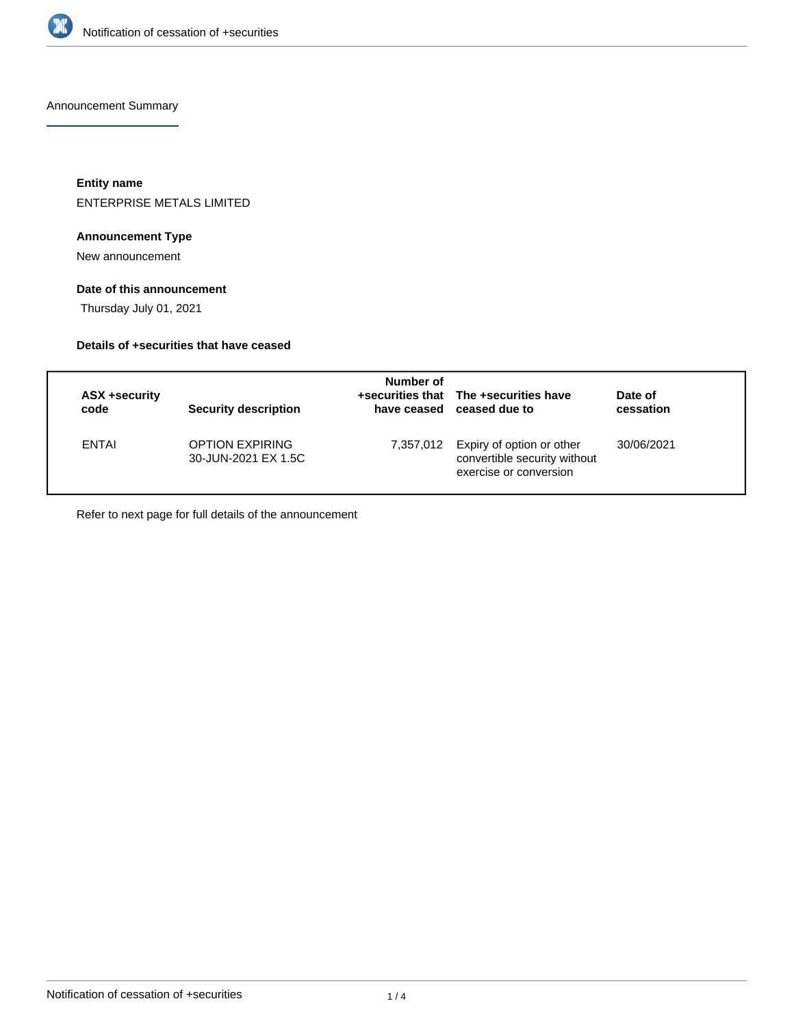

Announcement Summary

**Entity name** ENTERPRISE METALS LIMITED

## **Announcement Type**

New announcement

## **Date of this announcement**

Thursday July 01, 2021

## **Details of +securities that have ceased**

| ASX +security<br>code | <b>Security description</b>                   | Number of | +securities that The +securities have<br>have ceased ceased due to                            | Date of<br>cessation |
|-----------------------|-----------------------------------------------|-----------|-----------------------------------------------------------------------------------------------|----------------------|
| <b>ENTAI</b>          | <b>OPTION EXPIRING</b><br>30-JUN-2021 EX 1.5C |           | 7,357,012 Expiry of option or other<br>convertible security without<br>exercise or conversion | 30/06/2021           |

Refer to next page for full details of the announcement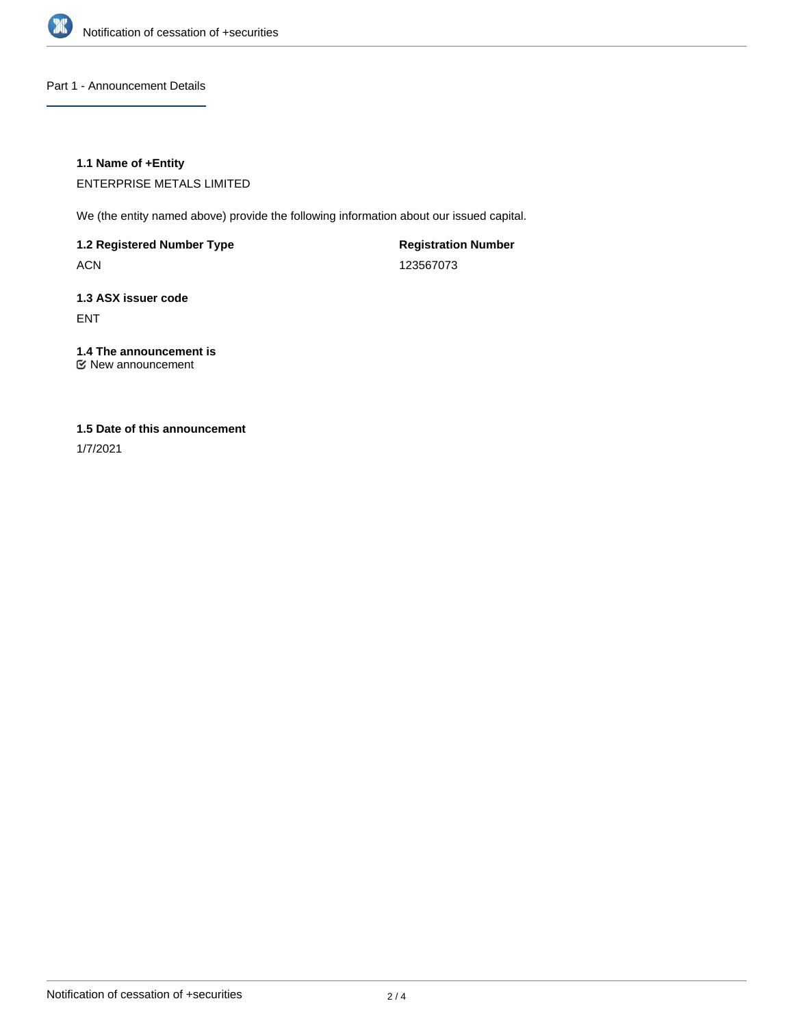

Part 1 - Announcement Details

## **1.1 Name of +Entity**

ENTERPRISE METALS LIMITED

We (the entity named above) provide the following information about our issued capital.

**1.2 Registered Number Type**

ACN

**Registration Number** 123567073

**1.3 ASX issuer code** ENT

# **1.4 The announcement is**

New announcement

## **1.5 Date of this announcement**

1/7/2021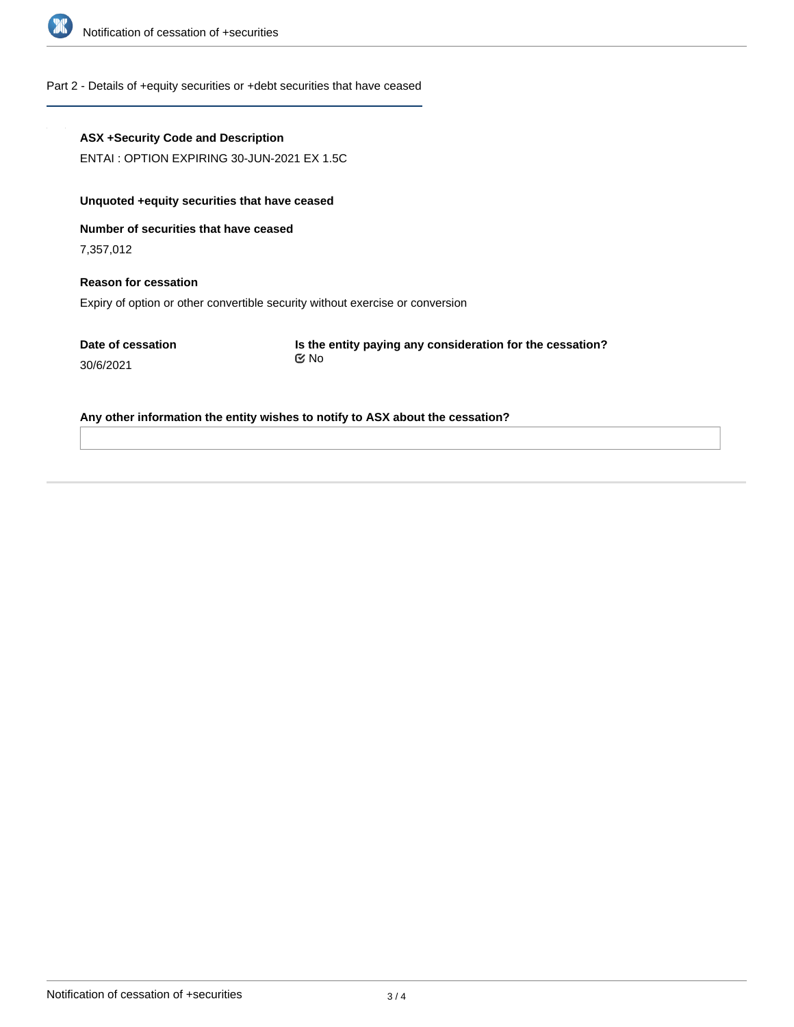

#### Part 2 - Details of +equity securities or +debt securities that have ceased

#### **ASX +Security Code and Description**

ENTAI : OPTION EXPIRING 30-JUN-2021 EX 1.5C

## **Unquoted +equity securities that have ceased**

**Number of securities that have ceased**

7,357,012

## **Reason for cessation** Expiry of option or other convertible security without exercise or conversion

**Date of cessation** 30/6/2021

**Is the entity paying any consideration for the cessation?** No

#### **Any other information the entity wishes to notify to ASX about the cessation?**